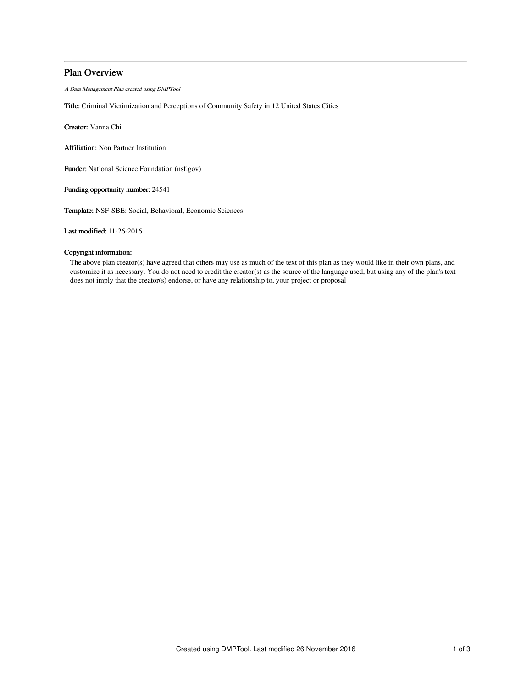# Plan Overview

A Data Management Plan created using DMPTool

Title: Criminal Victimization and Perceptions of Community Safety in 12 United States Cities

Creator: Vanna Chi

Affiliation: Non Partner Institution

Funder: National Science Foundation (nsf.gov)

Funding opportunity number: 24541

Template: NSF-SBE: Social, Behavioral, Economic Sciences

Last modified: 11-26-2016

# Copyright information:

The above plan creator(s) have agreed that others may use as much of the text of this plan as they would like in their own plans, and customize it as necessary. You do not need to credit the creator(s) as the source of the language used, but using any of the plan's text does not imply that the creator(s) endorse, or have any relationship to, your project or proposal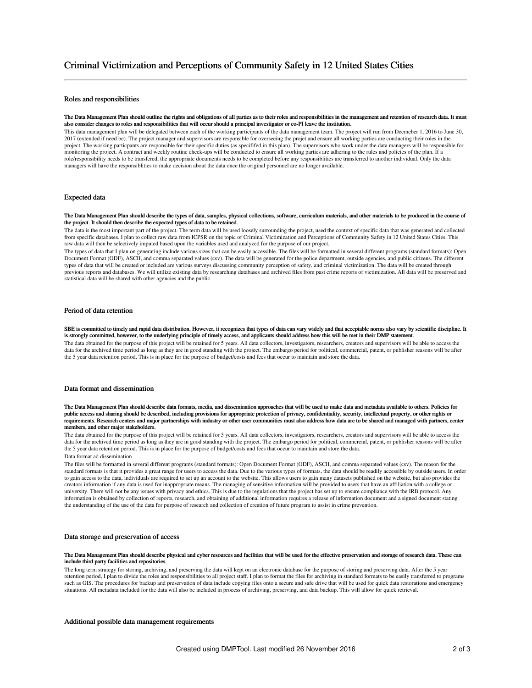# Roles and responsibilities

#### The Data Management Plan should outline the rights and obligations of all parties as to their roles and responsibilities in the management and retention of research data. It must also consider changes to roles and responsibilities that will occur should a principal investigator or co-PI leave the institution.

This data management plan will be delegated between each of the working participants of the data management team. The project will run from Decmeber 1, 2016 to June 30, 2017 (extended if need be). The project manager and supervisors are responsible for overseeing the projet and ensure all working parties are conducting their roles in the project. The working particpants are responsible for their specific duties (as specififed in this plan). The supervisors who work under the data managers will be responsible for monitoring the project. A contract and weekly routine check-ups will be conducted to ensure all working parties are adhering to the rules and policies of the plan. If a role/responsibility needs to be transfered, the appropriate documents needs to be completed before any responsiblities are transferred to another individual. Only the data managers will have the responsiblities to make decision about the data once the original personnel are no longer available.

## Expected data

#### The Data Management Plan should describe the types of data, samples, physical collections, software, curriculum materials, and other materials to be produced in the course of the project. It should then describe the expected types of data to be retained.

The data is the most important part of the project. The term data will be used loosely surrounding the project, used the context of specific data that was generated and collected from specific databases. I plan to collect raw data from ICPSR on the topic of Criminal Victimization and Perceptions of Community Safety in 12 United States Cities. This raw data will then be selectively imputed based upon the variables used and analyzed for the purpose of our project.

The types of data that I plan on generating include various sizes that can be easily accessible. The files will be formatted in several different programs (standard formats): Open Document Format (ODF), ASCII, and comma separated values (csv). The data will be generated for the police department, outside agencies, and public citizens. The different types of data that will be created or included are various surveys discussing community perception of safety, and criminal victimization. The data will be created through previous reports and databases. We will utilize existing data by researching databases and archived files from past crime reports of victimization. All data will be preserved and statistical data will be shared with other agencies and the public.

# Period of data retention

SBE is committed to timely and rapid data distribution. However, it recognizes that types of data can vary widely and that acceptable norms also vary by scientific discipline. It is strongly committed, however, to the underlying principle of timely access, and applicants should address how this will be met in their DMP statement.

The data obtained for the purpose of this project will be retained for 5 years. All data collectors, investigators, researchers, creators and supervisors will be able to access the data for the archived time period as long as they are in good standing with the project. The embargo period for political, commercial, patent, or publisher reasons will be after the 5 year data retention period. This is in place for the purpose of budget/costs and fees that occur to maintain and store the data.

# Data format and dissemination

The Data Management Plan should describe data formats, media, and dissemination approaches that will be used to make data and metadata available to others. Policies for public access and sharing should be described, including provisions for appropriate protection of privacy, confidentiality, security, intellectual property, or other rights or<br>requirements. Research centers and major partn members, and other major stakeholders.

The data obtained for the purpose of this project will be retained for 5 years. All data collectors, investigators, researchers, creators and supervisors will be able to access the data for the archived time period as long as they are in good standing with the project. The embargo period for political, commercial, patent, or publisher reasons will be after the 5 year data retention period. This is in place for the purpose of budget/costs and fees that occur to maintain and store the data. Data format ad dissemination

The files will be formatted in several different programs (standard formats): Open Document Format (ODF), ASCII, and comma separated values (csv). The reason for the standard formats is that it provides a great range for users to access the data. Due to the various types of formats, the data should be readily accessible by outside users. In order to gain access to the data, individuals are required to set up an account to the website. This allows users to gain many datasets published on the website, but also provides the creators information if any data is used for inappropriate means. The managing of sensitive information will be provided to users that have an affiliation with a college or university. There will not be any issues with privacy and ethics. This is due to the regulations that the project has set up to ensure compliance with the IRB protocol. Any information is obtained by collection of reports, research, and obtaining of additional information requires a release of information document and a signed document stating the understanding of the use of the data for purpose of research and collection of creation of future program to assist in crime prevention.

### Data storage and preservation of access

### The Data Management Plan should describe physical and cyber resources and facilities that will be used for the effective preservation and storage of research data. These can include third party facilities and repositories.

The long term strategy for storing, archiving, and preserving the data will kept on an electronic database for the purpose of storing and preserving data. After the 5 year retention period, I plan to divide the roles and responsibilities to all project staff. I plan to format the files for archiving in standard formats to be easily transferred to programs such as GIS. The procedures for backup and preservation of data include copying files onto a secure and safe drive that will be used for quick data restorations and emergency situations. All metadata included for the data will also be included in process of archiving, preserving, and data backup. This will allow for quick retrieval.

## Additional possible data management requirements